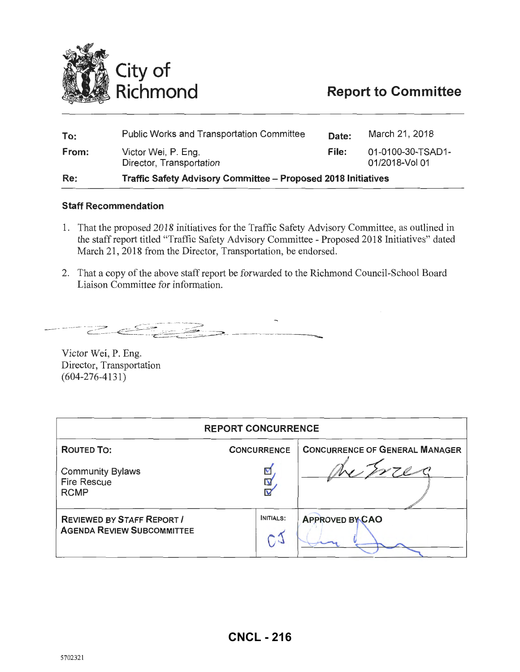

# **Report to Committee**

| To:   | <b>Public Works and Transportation Committee</b>                     | Date:        | March 21, 2018                      |
|-------|----------------------------------------------------------------------|--------------|-------------------------------------|
| From: | Victor Wei, P. Eng.<br>Director, Transportation                      | <b>File:</b> | 01-0100-30-TSAD1-<br>01/2018-Vol 01 |
| Re:   | <b>Traffic Safety Advisory Committee - Proposed 2018 Initiatives</b> |              |                                     |

#### Staff Recommendation

- 1. That the proposed 2018 initiatives for the Traffic Safety Advisory Committee, as outlined in the staff report titled "Traffic Safety Advisory Committee - Proposed 2018 Initiatives" dated March 21, 2018 from the Director, Transportation, be endorsed.
- 2. That a copy of the above staff report be forwarded to the Richmond Council-School Board Liaison Committee for information.

 $\epsilon$   $\epsilon$   $\epsilon$ 

Victor Wei, P. Eng. Director, Transportation (604-276-4131)

| <b>REPORT CONCURRENCE</b>                                              |                                    |                                       |  |  |
|------------------------------------------------------------------------|------------------------------------|---------------------------------------|--|--|
| <b>ROUTED TO:</b>                                                      | <b>CONCURRENCE</b>                 | <b>CONCURRENCE OF GENERAL MANAGER</b> |  |  |
| <b>Community Bylaws</b><br><b>Fire Rescue</b><br><b>RCMP</b>           | V<br>N                             |                                       |  |  |
| <b>REVIEWED BY STAFF REPORT /</b><br><b>AGENDA REVIEW SUBCOMMITTEE</b> | <b>INITIALS:</b><br>$\mathbb{C}^2$ | <b>APPROVED BY CAO</b>                |  |  |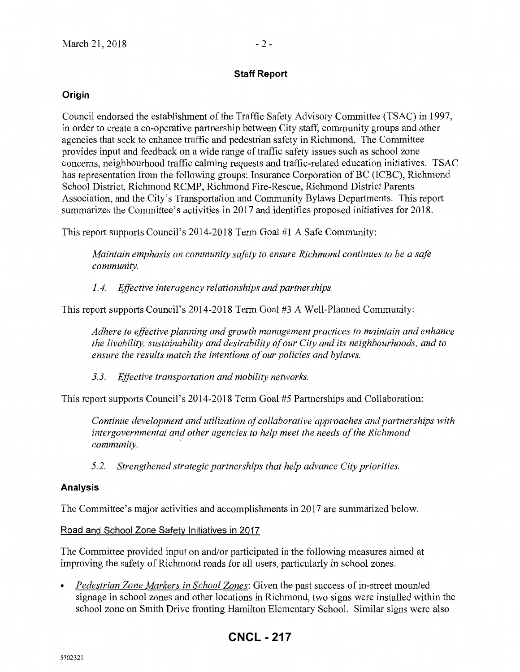### **Staff Report**

### **Origin**

Council endorsed the establishment of the Traffic Safety Advisory Committee (TSAC) in 1997, in order to create a co-operative partnership between City staff, community groups and other agencies that seek to enhance traffic and pedestrian safety in Richmond. The Committee provides input and feedback on a wide range of traffic safety issues such as school zone concerns, neighbourhood traffic calming requests and traffic-related education initiatives. TSAC has representation from the following groups: Insurance Corporation of BC (ICBC), Richmond School District, Richmond RCMP, Richmond Fire-Rescue, Richmond District Parents Association, and the City's Transportation and Community Bylaws Departments. This report summarizes the Committee's activities in 2017 and identifies proposed initiatives for 2018.

This report supports Council's 2014-2018 Term Goal #1 A Safe Community:

*Maintain emphasis on community safety to ensure Richmond continues to be a safe community.* 

*1.4. Effective interagency relationships and partnerships.* 

This report supports Council's 2014-2018 Term Goal #3 A Well-Planned Community:

*Adhere to effective planning and growth management practices to maintain and enhance the livability, sustainability and desirability of our City and its neighbourhoods, and to ensure the results match the intentions of our policies and bylaws.* 

*3.3. Effective transportation and mobility networks.* 

This report supports Council's 2014-2018 Term Goal #5 Partnerships and Collaboration:

*Continue development and utilization of collaborative approaches and partnerships with intergovernmental and other agencies to help meet the needs of the Richmond community.* ·

*5.2. Strengthened strategic partnerships that help advance City priorities.* 

### **Analysis**

The Committee's major activities and accomplishments in 2017 are summarized below.

Road and School Zone Safety Initiatives in 2017

The Committee provided input on and/or participated in the following measures aimed at improving the safety of Richmond roads for all users, particularly in school zones.

• *Pedestrian Zone Markers in School Zones:* Given the past success of in-street mounted signage in school zones and other locations in Richmond, two signs were installed within the school zone on Smith Drive fronting Hamilton Elementary School. Similar signs were also

## **CNCL - 217**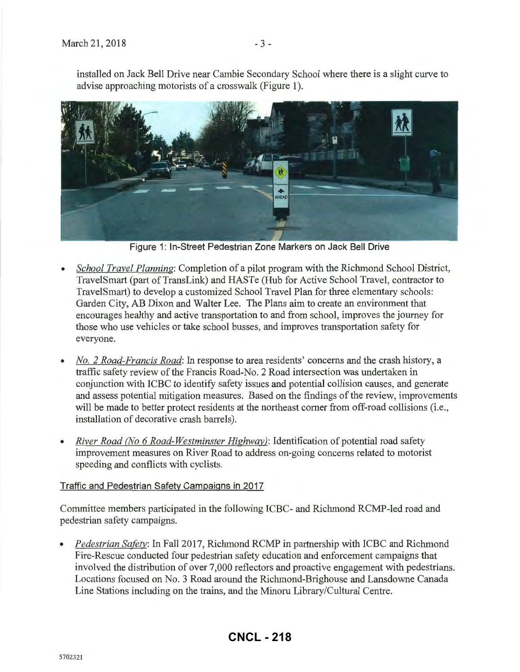installed on Jack Bell Drive near Cambie Secondary School where there is a slight curve to advise approaching motorists of a crosswalk (Figure 1).



Figure 1: In-Street Pedestrian Zone Markers on Jack Bell Drive

- *School Travel Planning:* Completion of a pilot program with the Richmond School District, Travel Smart (part of TransLink) and HASTe (Hub for Active School Travel, contractor to TravelSmart) to develop a customized School Travel Plan for three elementary schools: Garden City, AB Dixon and Walter Lee. The Plans aim to create an environment that encourages healthy and active transportation to and from school, improves the journey for those who use vehicles or take school busses, and improves transportation safety for everyone.
- *No. 2 Road-Francis Road:* In response to area residents' concerns and the crash history, a traffic safety review of the Francis Road-No. 2 Road intersection was undertaken in conjunction with ICBC to identify safety issues and potential collision causes, and generate and assess potential mitigation measures. Based on the findings of the review, improvements will be made to better protect residents at the northeast corner from off-road collisions (i.e., installation of decorative crash barrels).
- *River Road (No 6 Road-Westminster Highway):* Identification of potential road safety improvement measures on River Road to address on-going concerns related to motorist speeding and conflicts with cyclists.

### Traffic and Pedestrian Safety Campaigns in 2017

Committee members participated in the following ICBC- and Richmond RCMP-led road and pedestrian safety campaigns.

*Pedestrian Safety:* In Fall 2017, Richmond RCMP in partnership with ICBC and Richmond Fire-Rescue conducted four pedestrian safety education and enforcement campaigns that involved the distribution of over 7,000 reflectors and proactive engagement with pedestrians. Locations focused on No.3 Road around the Richmond-Brighouse and Lansdowne Canada Line Stations including on the trains, and the Minoru Library/Cultural Centre.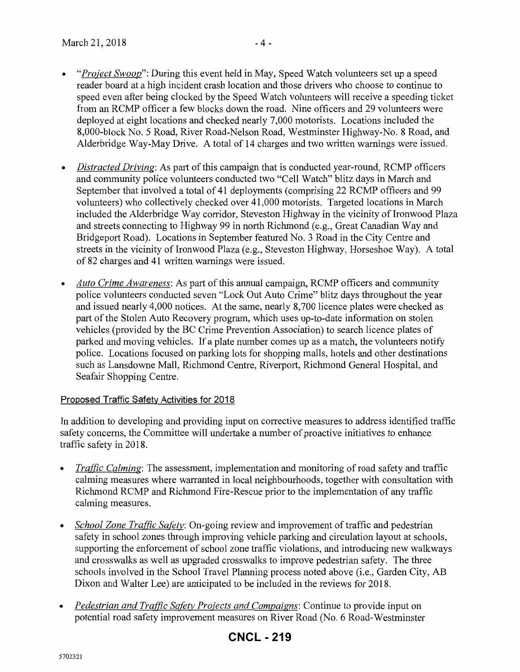- *"Project Swoop":* During this event held in May, Speed Watch volunteers set up a speed reader board at a high incident crash location and those drivers who choose to continue to speed even after being clocked by the Speed Watch volunteers will receive a speeding ticket from an RCMP officer a few blocks down the road. Nine officers and 29 volunteers were deployed at eight locations and checked nearly 7,000 motorists. Locations included the 8,000-block No.5 Road, River Road-Nelson Road, Westminster Highway-No. 8 Road, and Alderbridge Way-May Drive. A total of 14 charges and two written warnings were issued.
- *Distracted Driving:* As part of this campaign that is conducted year-round, RCMP officers and community police volunteers conducted two "Cell Watch" blitz days in March and September that involved a total of 41 deployments (comprising 22 RCMP officers and 99 volunteers) who collectively checked over 41,000 motorists. Targeted locations in March included the Alderbridge Way corridor, Steveston Highway in the vicinity of Ironwood Plaza and streets connecting to Highway 99 in north Richmond (e.g., Great Canadian Way and Bridgeport Road). Locations in September featured No.3 Road in the City Centre and streets in the vicinity of Ironwood Plaza (e.g., Steveston Highway, Horseshoe Way). A total of 82 charges and 41 written warnings were issued.
- *Auto Crime Awareness:* As part of this annual campaign, RCMP officers and community police volunteers conducted seven "Lock Out Auto Crime" blitz days throughout the year and issued nearly 4,000 notices. At the same, nearly 8, 700 licence plates were checked as part of the Stolen Auto Recovery program, which uses up-to-date information on stolen vehicles (provided by the BC Crime Prevention Association) to search licence plates of parked and moving vehicles. If a plate number comes up as a match, the volunteers notify police. Locations focused on parking lots for shopping malls, hotels and other destinations such as Lansdowne Mall, Richmond Centre, Riverport, Richmond General Hospital, and Seafair Shopping Centre.

### Proposed Traffic Safety Activities for 2018

In addition to developing and providing input on corrective measures to address identified traffic safety concerns, the Committee will undertake a number of proactive initiatives to enhance traffic safety in 2018.

- *Traffic Calming:* The assessment, implementation and monitoring of road safety and traffic calming measures where warranted in local neighbourhoods, together with consultation with Richmond RCMP and Richmond Fire-Rescue prior to the implementation of any traffic calming measures.
- *School Zone Traffic Safety:* On-going review and improvement of traffic and pedestrian safety in school zones through improving vehicle parking and circulation layout at schools, supporting the enforcement of school zone traffic violations, and introducing new walkways and crosswalks as well as upgraded crosswalks to improve pedestrian safety. The three schools involved in the School Travel Planning process noted above (i.e., Garden City, AB Dixon and Walter Lee) are anticipated to be included in the reviews for 2018.
- *Pedestrian and Traffic Safety Projects and Campaigns:* Continue to provide input on potential road safety improvement measures on River Road (No.6 Road-Westminster